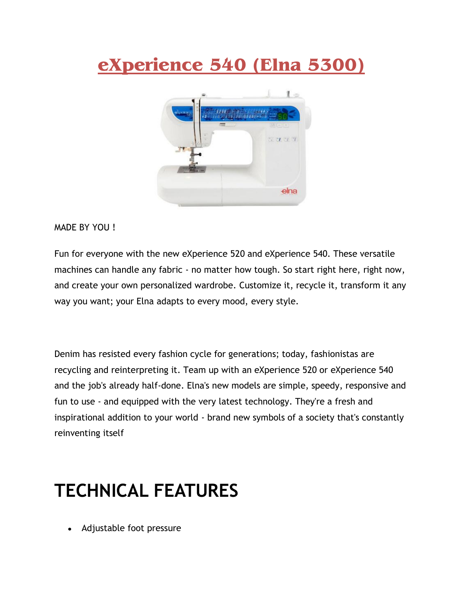# **eXperience 540 (Elna 5300)**



#### MADE BY YOU !

Fun for everyone with the new eXperience 520 and eXperience 540. These versatile machines can handle any fabric - no matter how tough. So start right here, right now, and create your own personalized wardrobe. Customize it, recycle it, transform it any way you want; your Elna adapts to every mood, every style.

Denim has resisted every fashion cycle for generations; today, fashionistas are recycling and reinterpreting it. Team up with an eXperience 520 or eXperience 540 and the job's already half-done. Elna's new models are simple, speedy, responsive and fun to use - and equipped with the very latest technology. They're a fresh and inspirational addition to your world - brand new symbols of a society that's constantly reinventing itself

### **TECHNICAL FEATURES**

Adjustable foot pressure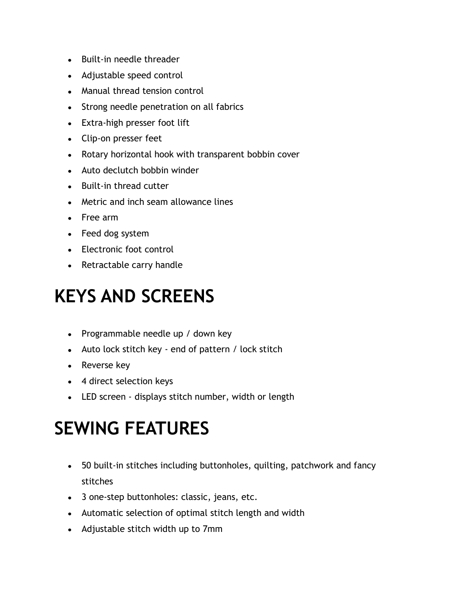- Built-in needle threader
- Adjustable speed control
- Manual thread tension control
- Strong needle penetration on all fabrics
- Extra-high presser foot lift
- Clip-on presser feet
- Rotary horizontal hook with transparent bobbin cover
- Auto declutch bobbin winder
- Built-in thread cutter
- Metric and inch seam allowance lines
- Free arm
- Feed dog system
- Electronic foot control
- Retractable carry handle

# **KEYS AND SCREENS**

- Programmable needle up / down key
- Auto lock stitch key end of pattern / lock stitch
- Reverse key
- 4 direct selection keys
- LED screen displays stitch number, width or length

## **SEWING FEATURES**

- 50 built-in stitches including buttonholes, quilting, patchwork and fancy stitches
- 3 one-step buttonholes: classic, jeans, etc.
- Automatic selection of optimal stitch length and width
- Adjustable stitch width up to 7mm